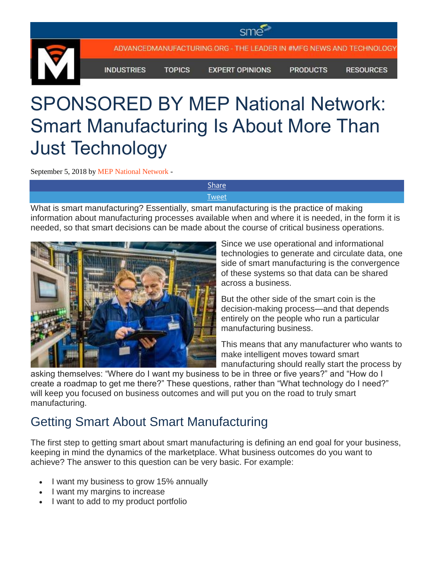ADVANCEDMANUFACTURING.ORG - THE LEADER IN #MFG NEWS AND TECHNOLOGY

**INDUSTRIES** 

**TOPICS** 

**EXPERT OPINIONS** 

**PRODUCTS** 

**RESOURCES** 

## SPONSORED BY MEP National Network: Smart Manufacturing Is About More Than Just Technology

September 5, 2018 by [MEP National Network](https://advancedmanufacturing.org/writer/mep-national-network/) -

**[Share](https://www.facebook.com/share.php?u=https%3A%2F%2Fadvancedmanufacturing.org%2Fsponsored-by-mep-national-network-smart-manufacturing-is-about-more-than-just-technology%2F)** [Tweet](https://twitter.com/intent/tweet?text=SPONSORED+BY+MEP+National+Network%3A+Smart+Manufacturing+Is+About+More+Than+Just+Technology&url=https%3A%2F%2Fadvancedmanufacturing.org%2Fsponsored-by-mep-national-network-smart-manufacturing-is-about-more-than-just-technology%2F)

What is smart manufacturing? Essentially, smart manufacturing is the practice of making information about manufacturing processes available when and where it is needed, in the form it is needed, so that smart decisions can be made about the course of critical business operations.



Since we use operational and informational technologies to generate and circulate data, one side of smart manufacturing is the convergence of these systems so that data can be shared across a business.

But the other side of the smart coin is the decision-making process—and that depends entirely on the people who run a particular manufacturing business.

This means that any manufacturer who wants to make intelligent moves toward smart manufacturing should really start the process by

asking themselves: "Where do I want my business to be in three or five years?" and "How do I create a roadmap to get me there?" These questions, rather than "What technology do I need?" will keep you focused on business outcomes and will put you on the road to truly smart manufacturing.

## Getting Smart About Smart Manufacturing

The first step to getting smart about smart manufacturing is defining an end goal for your business, keeping in mind the dynamics of the marketplace. What business outcomes do you want to achieve? The answer to this question can be very basic. For example:

- I want my business to grow 15% annually
- I want my margins to increase
- I want to add to my product portfolio